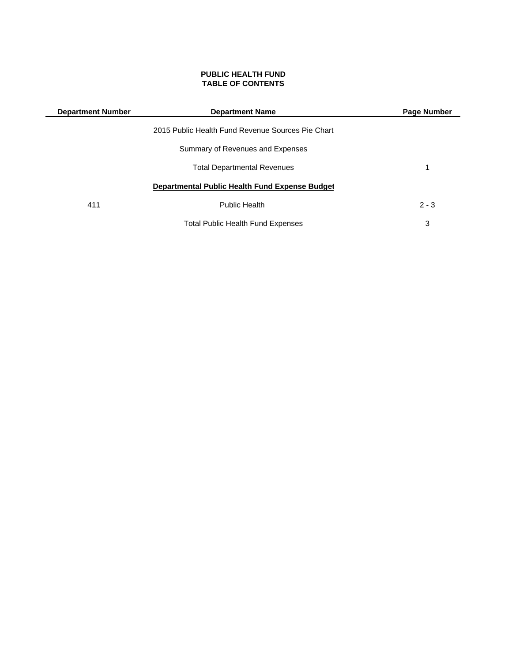# **PUBLIC HEALTH FUND TABLE OF CONTENTS**

| <b>Department Number</b> | <b>Department Name</b>                            | Page Number |
|--------------------------|---------------------------------------------------|-------------|
|                          | 2015 Public Health Fund Revenue Sources Pie Chart |             |
|                          | Summary of Revenues and Expenses                  |             |
|                          | <b>Total Departmental Revenues</b>                | 1           |
|                          | Departmental Public Health Fund Expense Budget    |             |
| 411                      | <b>Public Health</b>                              | $2 - 3$     |
|                          | <b>Total Public Health Fund Expenses</b>          | 3           |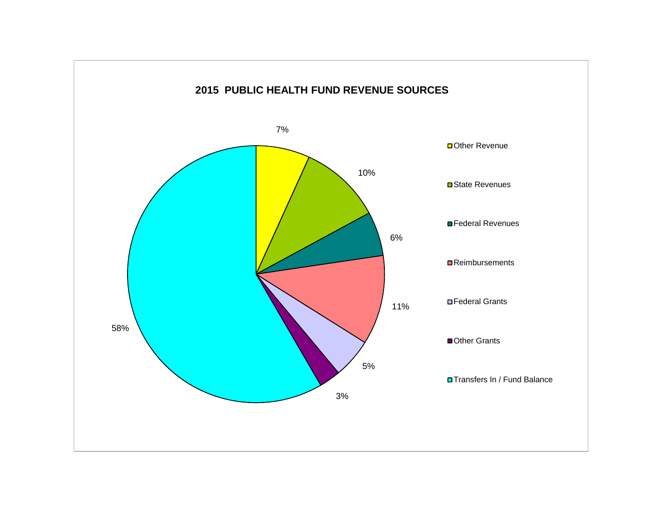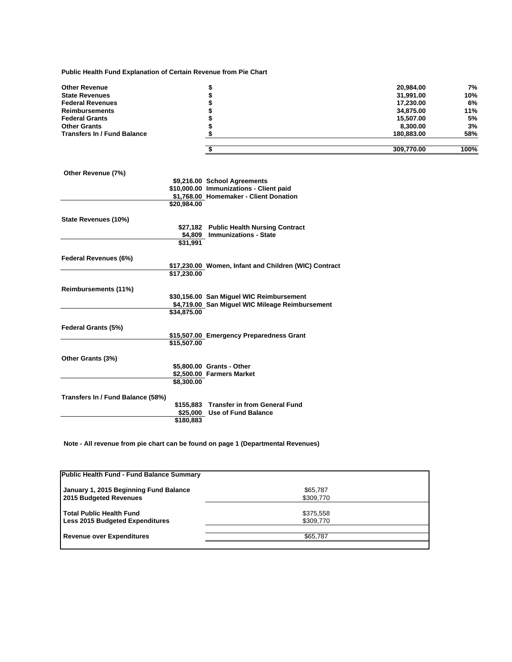**Public Health Fund Explanation of Certain Revenue from Pie Chart**

| <b>Other Revenue</b>               | \$                                                    | 20,984.00  | 7%   |
|------------------------------------|-------------------------------------------------------|------------|------|
| <b>State Revenues</b>              |                                                       | 31,991.00  | 10%  |
| <b>Federal Revenues</b>            |                                                       | 17,230.00  | 6%   |
| <b>Reimbursements</b>              |                                                       | 34,875.00  | 11%  |
| <b>Federal Grants</b>              |                                                       | 15,507.00  | 5%   |
| <b>Other Grants</b>                |                                                       | 8,300.00   | 3%   |
| <b>Transfers In / Fund Balance</b> |                                                       | 180,883.00 | 58%  |
|                                    | \$                                                    | 309,770.00 | 100% |
| Other Revenue (7%)                 |                                                       |            |      |
|                                    | \$9,216.00 School Agreements                          |            |      |
|                                    | \$10,000.00 Immunizations - Client paid               |            |      |
|                                    | \$1,768.00 Homemaker - Client Donation                |            |      |
|                                    | \$20,984.00                                           |            |      |
| State Revenues (10%)               |                                                       |            |      |
|                                    | \$27,182 Public Health Nursing Contract               |            |      |
|                                    | <b>Immunizations - State</b><br>\$4,809               |            |      |
|                                    | \$31,991                                              |            |      |
| <b>Federal Revenues (6%)</b>       |                                                       |            |      |
|                                    | \$17,230.00 Women, Infant and Children (WIC) Contract |            |      |
|                                    | \$17,230.00                                           |            |      |
| Reimbursements (11%)               |                                                       |            |      |

| <u>ILEIIIINUI SEIIIEIILS (TT /0)</u> |             |                                                 |
|--------------------------------------|-------------|-------------------------------------------------|
|                                      |             | \$30,156.00 San Miquel WIC Reimbursement        |
|                                      |             | \$4,719.00 San Miquel WIC Mileage Reimbursement |
|                                      | \$34,875.00 |                                                 |
| <b>Federal Grants (5%)</b>           |             |                                                 |
|                                      |             | \$15,507.00 Emergency Preparedness Grant        |
|                                      | \$15,507.00 |                                                 |
| Other Grants (3%)                    |             |                                                 |
|                                      |             | \$5,800.00 Grants - Other                       |
|                                      |             | \$2,500.00 Farmers Market                       |
|                                      | \$8,300,00  |                                                 |
| Transfers In / Fund Balance (58%)    |             |                                                 |
|                                      |             | \$155,883 Transfer in from General Fund         |

**Note - All revenue from pie chart can be found on page 1 (Departmental Revenues)**

**\$180,883**

| Public Health Fund - Fund Balance Summary |           |  |
|-------------------------------------------|-----------|--|
| January 1, 2015 Beginning Fund Balance    | \$65,787  |  |
| 2015 Budgeted Revenues                    | \$309,770 |  |
| <b>Total Public Health Fund</b>           | \$375,558 |  |
| <b>Less 2015 Budgeted Expenditures</b>    | \$309,770 |  |
| <b>Revenue over Expenditures</b>          | \$65,787  |  |
|                                           |           |  |

**\$25,000 Use of Fund Balance**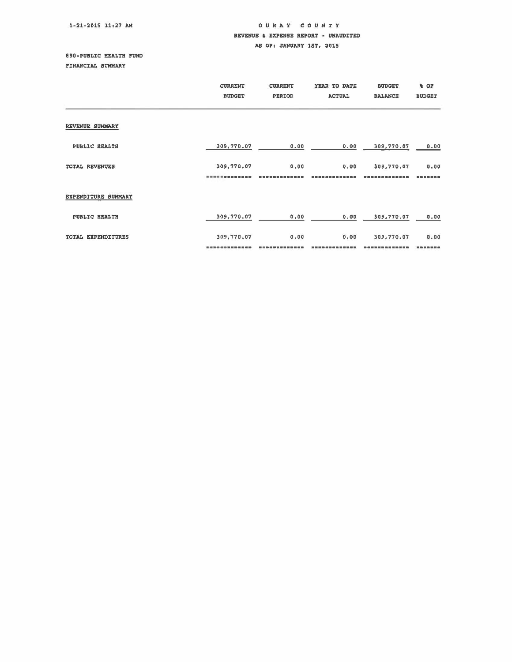# OUR A Y COUNTY REVENUE & EXPENSE REPORT - UNAUDITED AS OF: JANUARY 1ST. 2015

e90-PUBLIC HEALTH FUND FINANCIAL SUMMARY

|                     | <b>CURRENT</b><br><b>BUDGET</b> | <b>CURRENT</b><br>PERIOD | YEAR TO DATE<br><b>ACTUAL</b> | <b>BUDGET</b><br><b>BALANCE</b> | % OF<br><b>BUDGET</b> |
|---------------------|---------------------------------|--------------------------|-------------------------------|---------------------------------|-----------------------|
| REVENUE SUMMARY     |                                 |                          |                               |                                 |                       |
| PUBLIC HEALTH       | 309,770.07                      | 0.00                     | 0.00                          | 309,770.07                      | 0.00                  |
| TOTAL REVENUES      | 309,770.07                      | 0.00                     | 0.00                          | 309,770.07                      | 0.00                  |
| EXPENDITURE SUMMARY |                                 |                          |                               |                                 |                       |
| PUBLIC HEALTH       | 309,770.07                      | 0.00                     | 0.00                          | 309,770.07                      | 0.00                  |
| TOTAL EXPENDITURES  | 309,770.07                      | 0.00                     | 0.00                          | 309,770.07                      | 0.00                  |
|                     |                                 |                          |                               |                                 |                       |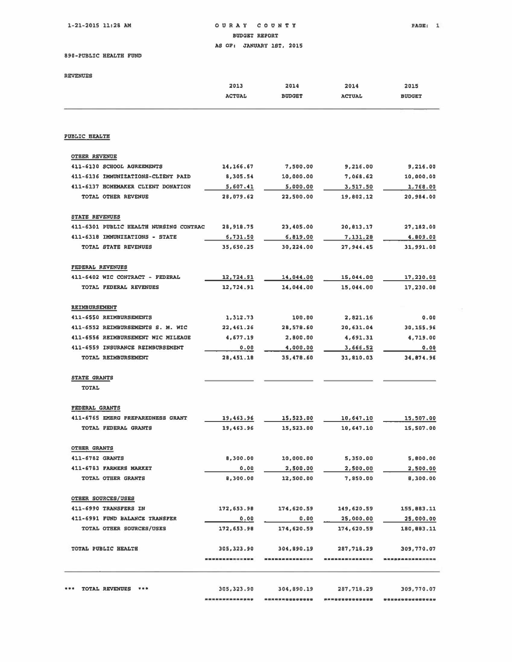1-21-2015 11128 AM

# OURAY COUNTY BUDGET REPORT AS OFI JANUARY 1ST, 2015

890-PUBLIC HEALTH FOND

REVENUES

|                                        | 2013            | 2014           | 2014           | 2015             |
|----------------------------------------|-----------------|----------------|----------------|------------------|
|                                        | <b>ACTUAL</b>   | <b>BUDGET</b>  | <b>ACTUAL</b>  | <b>BUDGET</b>    |
|                                        |                 |                |                |                  |
| <b>PUBLIC HEALTH</b>                   |                 |                |                |                  |
| OTHER REVENUE                          |                 |                |                |                  |
| 411-6130 SCHOOL AGREEMENTS             | 14, 166.67      | 7,500.00       | 9,216.00       | 9,216.00         |
| 411-6136 IMMUNIZATIONS-CLIENT PAID     | 8,305.54        | 10,000.00      | 7,068.62       | 10,000.00        |
| 411-6137 HOMEMAKER CLIENT DONATION     | 5,607.41        | 5,000.00       | 3,517.50       | 1,768.00         |
| TOTAL OTHER REVENUE                    | 28,079.62       | 22,500.00      | 19,802.12      | 20.984.00        |
| STATE REVENUES                         |                 |                |                |                  |
| 411-6301 PUBLIC HEALTH NURSING CONTRAC | 28,918.75       | 23,405.00      | 20,813.17      | 27,182.00        |
| 411-6318 IMMUNIZATIONS - STATE         | 6,731.50        | 6,819.00       | 7,131.28       | 4,809,00         |
| TOTAL STATE REVENUES                   | 35,650.25       | 30,224.00      | 27,944.45      | 31,991.00        |
| <b>FEDERAL REVENUES</b>                |                 |                |                |                  |
| 411-5402 WIC CONTRACT - FEDERAL        | 12,724.91       | 14,044.00      | 15,044.00      | 17,230.00        |
| TOTAL FEDERAL REVENUES                 | 12.724.91       | 14,044.00      | 15,044.00      | 17,230.00        |
| REIMBURSEMENT                          |                 |                |                |                  |
| 411-6550 REIMBURSEMENTS                | 1,312.73        | 100.00         | 2.821.16       | 0.00             |
| 411-6552 REIMBURSEMENTS S. M. WIC      | 22,461.26       | 28,578.60      | 20,631.04      | 30,155.96        |
| 411-6556 REIMBURSEMENT WIC MILEAGE     | 4,677.19        | 2,800.00       | 4,691.31       | 4,719.00         |
| 411-6559 INSURANCE REIMBURSEMENT       | 0.00            | 4,000.00       | 3,666.52       | 0.00             |
| TOTAL REIMBURSEMENT                    | 28,451.18       | 35,478.60      | 31,810.03      | 34,874.96        |
| STATE GRANTS                           |                 |                |                |                  |
| <b>TOTAL</b>                           |                 |                |                |                  |
| <b>FEDERAL GRANTS</b>                  |                 |                |                |                  |
| 411-6765 EMERG PREPAREDNESS GRANT      | 19,463.96       | 15,523.00      | 10,647.10      | 15,507.00        |
| TOTAL FEDERAL GRANTS                   | 19,463.96       | 15,523.00      | 10,647.10      | 15,507.00        |
| <b>OTHER GRANTS</b>                    |                 |                |                |                  |
| 411-6782 GRANTS                        | 8,300.00        | 10,000.00      | 5,350.00       | 5,800.00         |
| 411-6783 FARMERS MARKET                | 0.00            | 2,500.00       | 2,500.00       | 2,500.00         |
| TOTAL OTHER GRANTS                     | 8,300.00        | 12,500.00      | 7.850.00       | 8,300.00         |
| OTHER SOURCES/USES                     |                 |                |                |                  |
| 411-6990 TRANSFERS IN                  | 172,653.98      | 174,620.59     | 149,620.59     | 155,883.11       |
| 411-6991 FUND BALANCE TRANSFER         | 0.00            | 0.00           | 25,000.00      | 25,000.00        |
| TOTAL OTHER SOURCES/USES               | 172,653.98      | 174,620.59     | 174,620.59     | 180,883.11       |
| TOTAL PUBLIC HEALTH                    | 305, 323, 90    | 304,890.19     | 287,718.29     | 309,770.07       |
|                                        | --------------- | -------------  | -------------- | ---------------- |
|                                        |                 |                |                |                  |
| *** TOTAL REVENUES ***                 | 305, 323.90     | 304,890.19     | 287,718.29     | 309,770.07       |
|                                        | --------------- | -------------- | *************  |                  |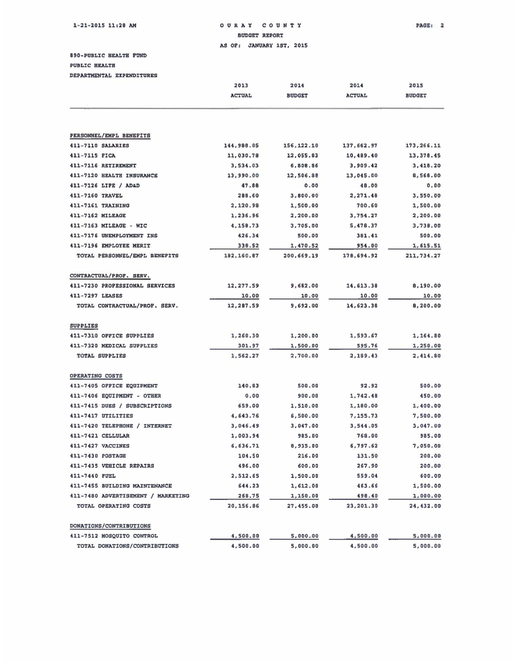#### 21~2015 11;28 AM 0 U RAY COUNTY PAGE l • BUDGET REPORT

AS OF: JANUARY 1ST, 2015

890-PUBLIC HEALTH FUND<br>PUBLIC HEALTH

DEPARTMENTAL EXPENDITURES

|                                    | 2013          | 2014          | 2014          | 2015          |
|------------------------------------|---------------|---------------|---------------|---------------|
|                                    | <b>ACTUAL</b> | <b>BUDGET</b> | <b>ACTUAL</b> | <b>BUDGET</b> |
|                                    |               |               |               |               |
| PERSONNEL/EMPL BENEFITS            |               |               |               |               |
| 411-7110 SALARIES                  | 144,988.05    | 156,122.10    | 137,662.97    | 173,266.11    |
| 411-7115 FICA                      | 11,030.78     | 12,055.83     | 10,489.40     | 13,378.45     |
| 411-7116 RETIREMENT                | 3,534.03      | 6,808.86      | 3,909.42      | 3,418.20      |
| 411-7120 HEALTH INSURANCE          | 13,990.00     | 12,506.88     | 13,045.00     | 8,568.00      |
| 411-7126 LIFE / ADAD               | 47.88         | 0.00          | 48.00         | 0.00          |
| 411-7160 TRAVEL                    | 288.60        | 3,800.00      | 2,271.48      | 3.550.00      |
| 411-7161 TRAINING                  | 2,120.98      | 1,500.00      | 700.60        | 1,500.00      |
| 411-7162 MILEAGE                   | 1,236.96      | 2,200.00      | 3,754.27      | 2,200.00      |
| 411-7163 MILEAGE - WIC             | 4,158.73      | 3,705.00      | 5,478.37      | 3,738.00      |
| 411-7176 UNEMPLOYMENT INS          | 426.34        | 500.00        | 381.41        | 500.00        |
| 411-7196 EMPLOYEE MERIT            | 330.52        | 1,470.52      | 954.00        | 1,615.51      |
| TOTAL PERSONNEL/EMPL BENEFITS      | 192,160.07    | 200,669.19    | 178,694.92    | 211,734.27    |
| CONTRACTUAL/PROF. SERV.            |               |               |               |               |
| 411-7230 PROFESSIONAL SERVICES     | 12,277.59     | 9,682.00      | 14,613.38     | 8,190.00      |
| 411-7297 LEASES                    | 10.00         | 10.00         | 10.00         | 10.00         |
| TOTAL CONTRACTUAL/PROF. SERV.      | 12,287.59     | 9,692.00      | 14,623.38     | 8,200.00      |
| <b>SUPPLIES</b>                    |               |               |               |               |
| 411-7310 OFFICE SUPPLIES           | 1,260.30      | 1,200.00      | 1,593.67      | 1,164.80      |
| 411-7320 MEDICAL SUPPLIES          | 301.97        | 1,500.00      | 595.76        | 1,250.00      |
| TOTAL SUPPLIES                     | 1,562.27      | 2,700.00      | 2,189.43      | 2,414.80      |
| OPERATING COSTS                    |               |               |               |               |
| 411-7405 OFFICE EQUIPMENT          | 140.83        | 500.00        | 92.92         | 500.00        |
| 411-7406 EQUIPMENT - OTHER         | 0.00          | 900,00        | 1,742.48      | 450.00        |
| 411-7415 DUES / SUBSCRIPTIONS      | 659.00        | 1,510.00      | 1,180.00      | 1,400.00      |
| 411-7417 UTILITIES                 | 4,643.76      | 6,500.00      | 7,155.73      | 7,500.00      |
| 411-7420 TELEPHONE / INTERNET      | 3,046.49      | 3,047.00      | 3,544.05      | 3,047.00      |
| 411-7421 CELLULAR                  | 1,003.94      | 985.00        | 768.00        | 985.00        |
| 411-7427 VACCINES                  | 6,636.71      | 8,935.00      | 6,797.62      | 7,050.00      |
| 411-7430 POSTAGE                   | 104.50        | 216.00        | 131.50        | 200,00        |
| 411-7435 VEHICLE REPAIRS           | 496.00        | 600.00        | 267.90        | 200.00        |
| 411-7440 FUEL                      | 2,512.65      | 1,500.00      | 559.04        | 600.00        |
| 411-7455 BUILDING MAINTENANCE      | 644.23        | 1,612.00      | 463.66        | 1,500.00      |
| 411-7480 ADVERTISEMENT / MARKETING | 268.75        | 1,150.00      | 498.40        | 1,000.00      |
| TOTAL OPERATING COSTS              | 20,156.86     | 27,455.00     | 23,201.30     | 24, 432.00    |
|                                    |               |               |               |               |
| <b>DONATIONS/CONTRIBUTIONS</b>     |               |               |               |               |
| 411-7512 MOSQUITO CONTROL          | 4,500.00      | 5,000.00      | 4,500.00      | 5,000.00      |
| TOTAL DONATIONS/CONTRIBUTIONS      | 4,500.00      | 5,000.00      | 4,500.00      | 5,000.00      |